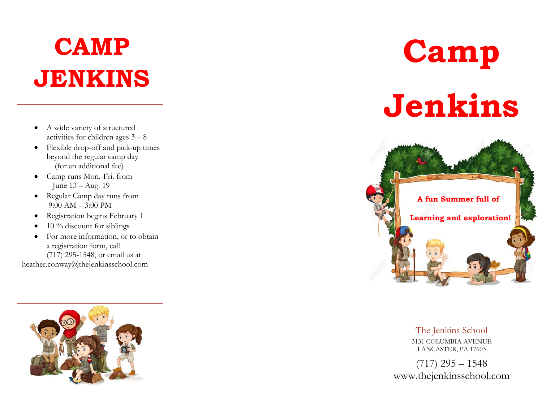## **CAMP JENKINS**

- A wide variety of structured activities for children ages 3 – 8
- Flexible drop-off and pick-up times beyond the regular camp day (for an additional fee)
- Camp runs Mon.-Fri. from June 13 – Aug. 19
- Regular Camp day runs from 9:00 AM – 3:00 PM
- $\bullet$ Registration begins February 1
- 0 10 % discount for siblings
- . For more information, or to obtain a registration form, call (717) 295-1548, or email us at

heather.conway@thejenkinsschool.com



# **Camp Jenkins**



The Jenkins School 3131 COLUMBIA AVENUE LANCASTER, PA 17603

 $(717)$  295 – 1548 www.thejenkinsschool.com